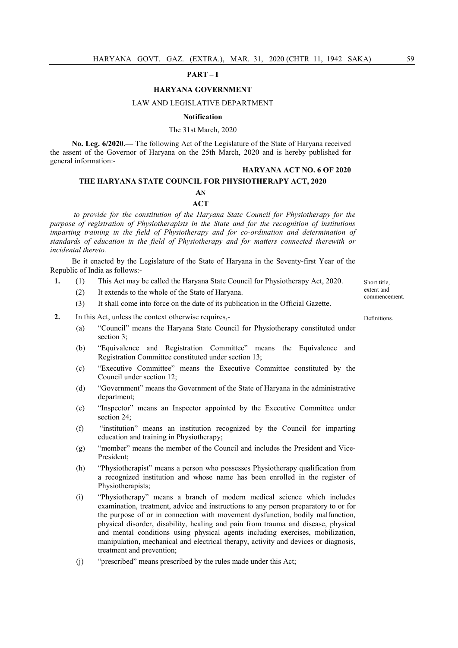### PART – I

## HARYANA GOVERNMENT

## LAW AND LEGISLATIVE DEPARTMENT

## Notification

# The 31st March, 2020

No. Leg. 6/2020.— The following Act of the Legislature of the State of Haryana received the assent of the Governor of Haryana on the 25th March, 2020 and is hereby published for general information:-

#### HARYANA ACT NO. 6 OF 2020

## THE HARYANA STATE COUNCIL FOR PHYSIOTHERAPY ACT, 2020

## AN **ACT**

to provide for the constitution of the Haryana State Council for Physiotherapy for the purpose of registration of Physiotherapists in the State and for the recognition of institutions imparting training in the field of Physiotherapy and for co-ordination and determination of standards of education in the field of Physiotherapy and for matters connected therewith or incidental thereto.

Be it enacted by the Legislature of the State of Haryana in the Seventy-first Year of the Republic of India as follows:-

- 1. (1) This Act may be called the Haryana State Council for Physiotherapy Act, 2020.
	- (2) It extends to the whole of the State of Haryana.

(3) It shall come into force on the date of its publication in the Official Gazette.

2. In this Act, unless the context otherwise requires,-

- (a) "Council" means the Haryana State Council for Physiotherapy constituted under section 3;
- (b) "Equivalence and Registration Committee" means the Equivalence and Registration Committee constituted under section 13;
- (c) "Executive Committee" means the Executive Committee constituted by the Council under section 12;
- (d) "Government" means the Government of the State of Haryana in the administrative department;
- (e) "Inspector" means an Inspector appointed by the Executive Committee under section 24;
- (f) "institution" means an institution recognized by the Council for imparting education and training in Physiotherapy;
- (g) "member" means the member of the Council and includes the President and Vice-President;
- (h) "Physiotherapist" means a person who possesses Physiotherapy qualification from a recognized institution and whose name has been enrolled in the register of Physiotherapists;
- (i) "Physiotherapy" means a branch of modern medical science which includes examination, treatment, advice and instructions to any person preparatory to or for the purpose of or in connection with movement dysfunction, bodily malfunction, physical disorder, disability, healing and pain from trauma and disease, physical and mental conditions using physical agents including exercises, mobilization, manipulation, mechanical and electrical therapy, activity and devices or diagnosis, treatment and prevention;
- (j) "prescribed" means prescribed by the rules made under this Act;

Short title, extent and commencement.

Definitions.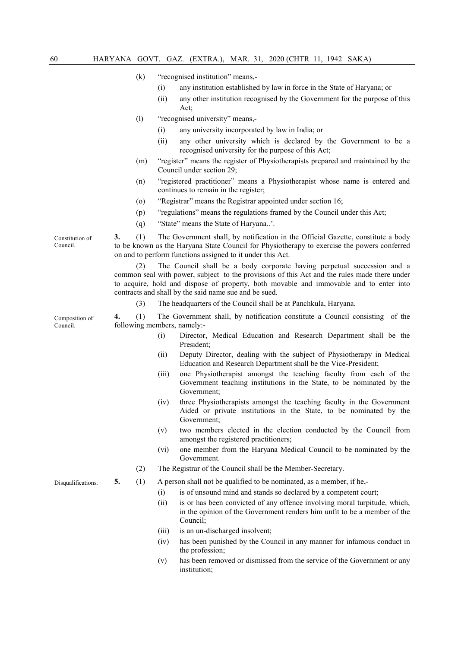- (k) "recognised institution" means,-
	- (i) any institution established by law in force in the State of Haryana; or
	- (ii) any other institution recognised by the Government for the purpose of this Act;
- (l) "recognised university" means,-
	- (i) any university incorporated by law in India; or
	- (ii) any other university which is declared by the Government to be a recognised university for the purpose of this Act;
- (m) "register" means the register of Physiotherapists prepared and maintained by the Council under section 29;
- (n) "registered practitioner" means a Physiotherapist whose name is entered and continues to remain in the register;
- (o) "Registrar" means the Registrar appointed under section 16;
- (p) "regulations" means the regulations framed by the Council under this Act;
- (q) "State" means the State of Haryana..'.

3. (1) The Government shall, by notification in the Official Gazette, constitute a body to be known as the Haryana State Council for Physiotherapy to exercise the powers conferred on and to perform functions assigned to it under this Act.

 (2) The Council shall be a body corporate having perpetual succession and a common seal with power, subject to the provisions of this Act and the rules made there under to acquire, hold and dispose of property, both movable and immovable and to enter into contracts and shall by the said name sue and be sued.

(3) The headquarters of the Council shall be at Panchkula, Haryana.

4. (1) The Government shall, by notification constitute a Council consisting of the following members, namely:-

- (i) Director, Medical Education and Research Department shall be the President;
- (ii) Deputy Director, dealing with the subject of Physiotherapy in Medical Education and Research Department shall be the Vice-President;
- (iii) one Physiotherapist amongst the teaching faculty from each of the Government teaching institutions in the State, to be nominated by the Government;
- (iv) three Physiotherapists amongst the teaching faculty in the Government Aided or private institutions in the State, to be nominated by the Government;
- (v) two members elected in the election conducted by the Council from amongst the registered practitioners;
- (vi) one member from the Haryana Medical Council to be nominated by the Government.
- (2) The Registrar of the Council shall be the Member-Secretary.

Disqualifications. 5. (1) A person shall not be qualified to be nominated, as a member, if he,-

- (i) is of unsound mind and stands so declared by a competent court;
- (ii) is or has been convicted of any offence involving moral turpitude, which, in the opinion of the Government renders him unfit to be a member of the Council;
- (iii) is an un-discharged insolvent;
- (iv) has been punished by the Council in any manner for infamous conduct in the profession;
- (v) has been removed or dismissed from the service of the Government or any institution;

Constitution of Council.

Composition of Council.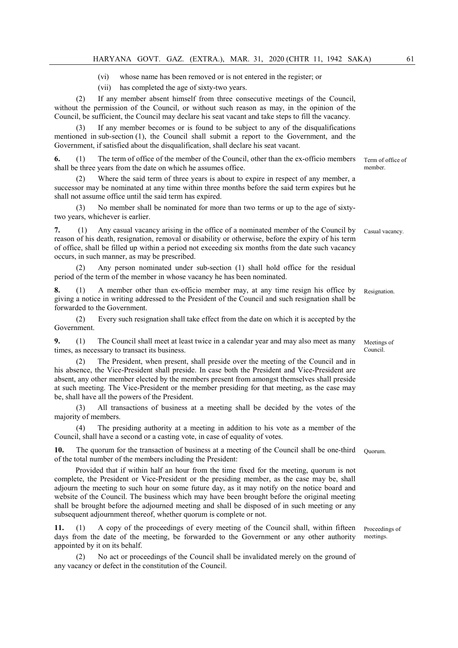(vi) whose name has been removed or is not entered in the register; or

(vii) has completed the age of sixty-two years.

If any member absent himself from three consecutive meetings of the Council, without the permission of the Council, or without such reason as may, in the opinion of the Council, be sufficient, the Council may declare his seat vacant and take steps to fill the vacancy.

If any member becomes or is found to be subject to any of the disqualifications mentioned in sub-section (1), the Council shall submit a report to the Government, and the Government, if satisfied about the disqualification, shall declare his seat vacant.

6. (1) The term of office of the member of the Council, other than the ex-officio members shall be three years from the date on which he assumes office.

 (2) Where the said term of three years is about to expire in respect of any member, a successor may be nominated at any time within three months before the said term expires but he shall not assume office until the said term has expired.

 (3) No member shall be nominated for more than two terms or up to the age of sixtytwo years, whichever is earlier.

7. (1) Any casual vacancy arising in the office of a nominated member of the Council by reason of his death, resignation, removal or disability or otherwise, before the expiry of his term of office, shall be filled up within a period not exceeding six months from the date such vacancy occurs, in such manner, as may be prescribed.

 (2) Any person nominated under sub-section (1) shall hold office for the residual period of the term of the member in whose vacancy he has been nominated.

8. (1) A member other than ex-officio member may, at any time resign his office by giving a notice in writing addressed to the President of the Council and such resignation shall be forwarded to the Government. Resignation.

 (2) Every such resignation shall take effect from the date on which it is accepted by the Government.

9. (1) The Council shall meet at least twice in a calendar year and may also meet as many times, as necessary to transact its business.

 (2) The President, when present, shall preside over the meeting of the Council and in his absence, the Vice-President shall preside. In case both the President and Vice-President are absent, any other member elected by the members present from amongst themselves shall preside at such meeting. The Vice-President or the member presiding for that meeting, as the case may be, shall have all the powers of the President.

 (3) All transactions of business at a meeting shall be decided by the votes of the majority of members.

 (4) The presiding authority at a meeting in addition to his vote as a member of the Council, shall have a second or a casting vote, in case of equality of votes.

10. The quorum for the transaction of business at a meeting of the Council shall be one-third of the total number of the members including the President: Quorum.

 Provided that if within half an hour from the time fixed for the meeting, quorum is not complete, the President or Vice-President or the presiding member, as the case may be, shall adjourn the meeting to such hour on some future day, as it may notify on the notice board and website of the Council. The business which may have been brought before the original meeting shall be brought before the adjourned meeting and shall be disposed of in such meeting or any subsequent adjournment thereof, whether quorum is complete or not.

11. (1) A copy of the proceedings of every meeting of the Council shall, within fifteen days from the date of the meeting, be forwarded to the Government or any other authority appointed by it on its behalf.

No act or proceedings of the Council shall be invalidated merely on the ground of any vacancy or defect in the constitution of the Council.

Term of office of member.

Casual vacancy.

Meetings of Council.

Proceedings of meetings.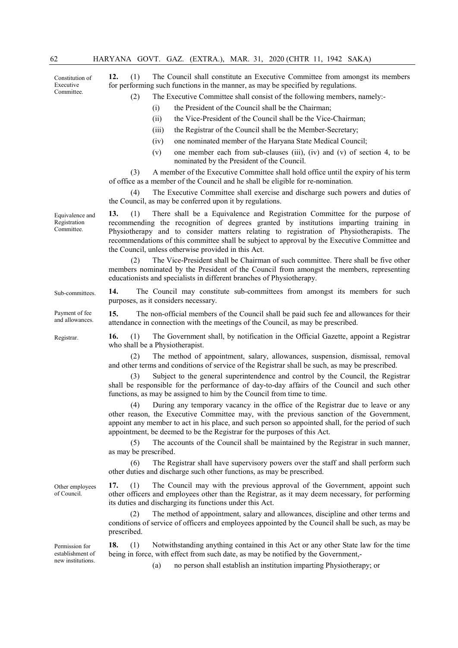Constitution of Executive Committee.

12. (1) The Council shall constitute an Executive Committee from amongst its members for performing such functions in the manner, as may be specified by regulations.

- (2) The Executive Committee shall consist of the following members, namely:-
	- (i) the President of the Council shall be the Chairman;
	- (ii) the Vice-President of the Council shall be the Vice-Chairman;
	- (iii) the Registrar of the Council shall be the Member-Secretary;
	- (iv) one nominated member of the Haryana State Medical Council;
	- (v) one member each from sub-clauses (iii), (iv) and (v) of section 4, to be nominated by the President of the Council.

(3) A member of the Executive Committee shall hold office until the expiry of his term of office as a member of the Council and he shall be eligible for re-nomination.

(4) The Executive Committee shall exercise and discharge such powers and duties of the Council, as may be conferred upon it by regulations.

13. (1) There shall be a Equivalence and Registration Committee for the purpose of recommending the recognition of degrees granted by institutions imparting training in Physiotherapy and to consider matters relating to registration of Physiotherapists. The recommendations of this committee shall be subject to approval by the Executive Committee and the Council, unless otherwise provided in this Act.

 (2) The Vice-President shall be Chairman of such committee. There shall be five other members nominated by the President of the Council from amongst the members, representing educationists and specialists in different branches of Physiotherapy.

Sub-committees. 14. The Council may constitute sub-committees from amongst its members for such purposes, as it considers necessary.

> 15. The non-official members of the Council shall be paid such fee and allowances for their attendance in connection with the meetings of the Council, as may be prescribed.

Registrar. 16. (1) The Government shall, by notification in the Official Gazette, appoint a Registrar who shall be a Physiotherapist.

> (2) The method of appointment, salary, allowances, suspension, dismissal, removal and other terms and conditions of service of the Registrar shall be such, as may be prescribed.

> (3) Subject to the general superintendence and control by the Council, the Registrar shall be responsible for the performance of day-to-day affairs of the Council and such other functions, as may be assigned to him by the Council from time to time.

> (4) During any temporary vacancy in the office of the Registrar due to leave or any other reason, the Executive Committee may, with the previous sanction of the Government, appoint any member to act in his place, and such person so appointed shall, for the period of such appointment, be deemed to be the Registrar for the purposes of this Act.

> (5) The accounts of the Council shall be maintained by the Registrar in such manner, as may be prescribed.

> (6) The Registrar shall have supervisory powers over the staff and shall perform such other duties and discharge such other functions, as may be prescribed.

> 17. (1) The Council may with the previous approval of the Government, appoint such other officers and employees other than the Registrar, as it may deem necessary, for performing its duties and discharging its functions under this Act.

> (2) The method of appointment, salary and allowances, discipline and other terms and conditions of service of officers and employees appointed by the Council shall be such, as may be prescribed.

> 18. (1) Notwithstanding anything contained in this Act or any other State law for the time being in force, with effect from such date, as may be notified by the Government,-

> > (a) no person shall establish an institution imparting Physiotherapy; or

Other employees of Council.

Permission for establishment of new institutions.

Equivalence and Registration Committee.

Payment of fee and allowances.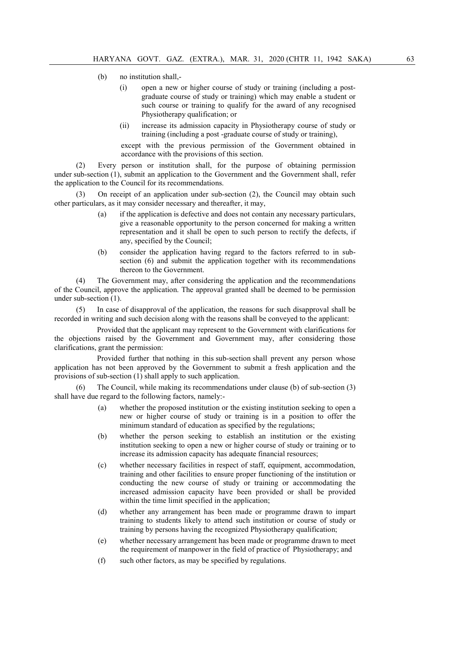- (b) no institution shall,-
	- (i) open a new or higher course of study or training (including a postgraduate course of study or training) which may enable a student or such course or training to qualify for the award of any recognised Physiotherapy qualification; or
	- (ii) increase its admission capacity in Physiotherapy course of study or training (including a post -graduate course of study or training),

except with the previous permission of the Government obtained in accordance with the provisions of this section.

(2) Every person or institution shall, for the purpose of obtaining permission under sub-section (1), submit an application to the Government and the Government shall, refer the application to the Council for its recommendations.

On receipt of an application under sub-section  $(2)$ , the Council may obtain such other particulars, as it may consider necessary and thereafter, it may,

- (a) if the application is defective and does not contain any necessary particulars, give a reasonable opportunity to the person concerned for making a written representation and it shall be open to such person to rectify the defects, if any, specified by the Council;
- (b) consider the application having regard to the factors referred to in subsection (6) and submit the application together with its recommendations thereon to the Government.

(4) The Government may, after considering the application and the recommendations of the Council, approve the application. The approval granted shall be deemed to be permission under sub-section (1).

(5) In case of disapproval of the application, the reasons for such disapproval shall be recorded in writing and such decision along with the reasons shall be conveyed to the applicant:

 Provided that the applicant may represent to the Government with clarifications for the objections raised by the Government and Government may, after considering those clarifications, grant the permission:

 Provided further that nothing in this sub-section shall prevent any person whose application has not been approved by the Government to submit a fresh application and the provisions of sub-section (1) shall apply to such application.

(6) The Council, while making its recommendations under clause (b) of sub-section (3) shall have due regard to the following factors, namely:-

- (a) whether the proposed institution or the existing institution seeking to open a new or higher course of study or training is in a position to offer the minimum standard of education as specified by the regulations;
- (b) whether the person seeking to establish an institution or the existing institution seeking to open a new or higher course of study or training or to increase its admission capacity has adequate financial resources;
- (c) whether necessary facilities in respect of staff, equipment, accommodation, training and other facilities to ensure proper functioning of the institution or conducting the new course of study or training or accommodating the increased admission capacity have been provided or shall be provided within the time limit specified in the application;
- (d) whether any arrangement has been made or programme drawn to impart training to students likely to attend such institution or course of study or training by persons having the recognized Physiotherapy qualification;
- (e) whether necessary arrangement has been made or programme drawn to meet the requirement of manpower in the field of practice of Physiotherapy; and
- (f) such other factors, as may be specified by regulations.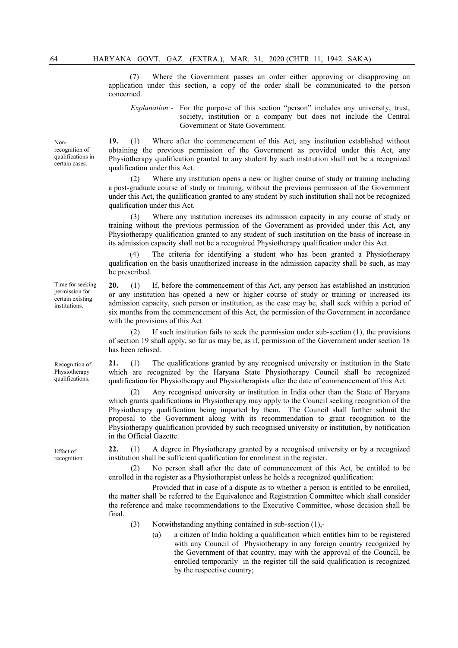(7) Where the Government passes an order either approving or disapproving an application under this section, a copy of the order shall be communicated to the person concerned.

Explanation:- For the purpose of this section "person" includes any university, trust, society, institution or a company but does not include the Central Government or State Government.

19. (1) Where after the commencement of this Act, any institution established without obtaining the previous permission of the Government as provided under this Act, any Physiotherapy qualification granted to any student by such institution shall not be a recognized qualification under this Act.

 (2) Where any institution opens a new or higher course of study or training including a post-graduate course of study or training, without the previous permission of the Government under this Act, the qualification granted to any student by such institution shall not be recognized qualification under this Act.

 (3) Where any institution increases its admission capacity in any course of study or training without the previous permission of the Government as provided under this Act, any Physiotherapy qualification granted to any student of such institution on the basis of increase in its admission capacity shall not be a recognized Physiotherapy qualification under this Act.

The criteria for identifying a student who has been granted a Physiotherapy qualification on the basis unauthorized increase in the admission capacity shall be such, as may be prescribed.

20. (1) If, before the commencement of this Act, any person has established an institution or any institution has opened a new or higher course of study or training or increased its admission capacity, such person or institution, as the case may be, shall seek within a period of six months from the commencement of this Act, the permission of the Government in accordance with the provisions of this Act.

 (2) If such institution fails to seek the permission under sub-section (1), the provisions of section 19 shall apply, so far as may be, as if, permission of the Government under section 18 has been refused.

21. (1) The qualifications granted by any recognised university or institution in the State which are recognized by the Haryana State Physiotherapy Council shall be recognized qualification for Physiotherapy and Physiotherapists after the date of commencement of this Act.

Any recognised university or institution in India other than the State of Haryana which grants qualifications in Physiotherapy may apply to the Council seeking recognition of the Physiotherapy qualification being imparted by them. The Council shall further submit the proposal to the Government along with its recommendation to grant recognition to the Physiotherapy qualification provided by such recognised university or institution, by notification in the Official Gazette.

22. (1) A degree in Physiotherapy granted by a recognised university or by a recognized institution shall be sufficient qualification for enrolment in the register.

 (2) No person shall after the date of commencement of this Act, be entitled to be enrolled in the register as a Physiotherapist unless he holds a recognized qualification:

 Provided that in case of a dispute as to whether a person is entitled to be enrolled, the matter shall be referred to the Equivalence and Registration Committee which shall consider the reference and make recommendations to the Executive Committee, whose decision shall be final.

- (3) Notwithstanding anything contained in sub-section (1),-
	- (a) a citizen of India holding a qualification which entitles him to be registered with any Council of Physiotherapy in any foreign country recognized by the Government of that country, may with the approval of the Council, be enrolled temporarily in the register till the said qualification is recognized by the respective country;

Time for seeking permission for certain existing institutions.

Recognition of Physiotherapy qualifications.

Effect of recognition.

Nonrecognition of qualifications in certain cases.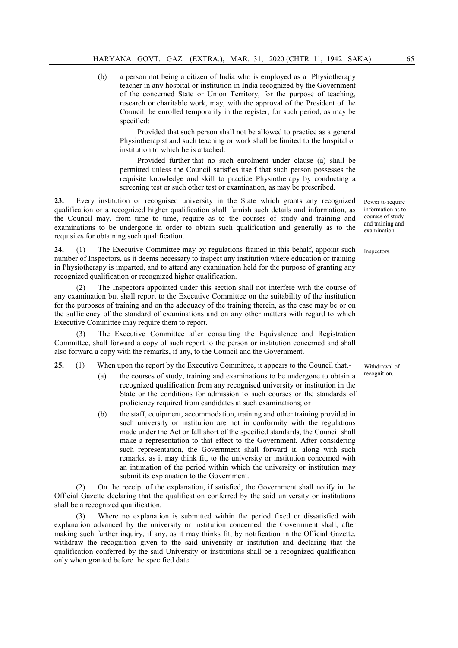(b) a person not being a citizen of India who is employed as a Physiotherapy teacher in any hospital or institution in India recognized by the Government of the concerned State or Union Territory, for the purpose of teaching, research or charitable work, may, with the approval of the President of the Council, be enrolled temporarily in the register, for such period, as may be specified:

 Provided that such person shall not be allowed to practice as a general Physiotherapist and such teaching or work shall be limited to the hospital or institution to which he is attached:

 Provided further that no such enrolment under clause (a) shall be permitted unless the Council satisfies itself that such person possesses the requisite knowledge and skill to practice Physiotherapy by conducting a screening test or such other test or examination, as may be prescribed.

23. Every institution or recognised university in the State which grants any recognized qualification or a recognized higher qualification shall furnish such details and information, as the Council may, from time to time, require as to the courses of study and training and examinations to be undergone in order to obtain such qualification and generally as to the requisites for obtaining such qualification.

24. (1) The Executive Committee may by regulations framed in this behalf, appoint such number of Inspectors, as it deems necessary to inspect any institution where education or training in Physiotherapy is imparted, and to attend any examination held for the purpose of granting any recognized qualification or recognized higher qualification.

 (2) The Inspectors appointed under this section shall not interfere with the course of any examination but shall report to the Executive Committee on the suitability of the institution for the purposes of training and on the adequacy of the training therein, as the case may be or on the sufficiency of the standard of examinations and on any other matters with regard to which Executive Committee may require them to report.

 (3) The Executive Committee after consulting the Equivalence and Registration Committee, shall forward a copy of such report to the person or institution concerned and shall also forward a copy with the remarks, if any, to the Council and the Government.

25. (1) When upon the report by the Executive Committee, it appears to the Council that,-

- (a) the courses of study, training and examinations to be undergone to obtain a recognized qualification from any recognised university or institution in the State or the conditions for admission to such courses or the standards of proficiency required from candidates at such examinations; or
- (b) the staff, equipment, accommodation, training and other training provided in such university or institution are not in conformity with the regulations made under the Act or fall short of the specified standards, the Council shall make a representation to that effect to the Government. After considering such representation, the Government shall forward it, along with such remarks, as it may think fit, to the university or institution concerned with an intimation of the period within which the university or institution may submit its explanation to the Government.

(2) On the receipt of the explanation, if satisfied, the Government shall notify in the Official Gazette declaring that the qualification conferred by the said university or institutions shall be a recognized qualification.

Where no explanation is submitted within the period fixed or dissatisfied with explanation advanced by the university or institution concerned, the Government shall, after making such further inquiry, if any, as it may thinks fit, by notification in the Official Gazette, withdraw the recognition given to the said university or institution and declaring that the qualification conferred by the said University or institutions shall be a recognized qualification only when granted before the specified date.

Power to require information as to courses of study and training and examination.

Inspectors.

Withdrawal of recognition.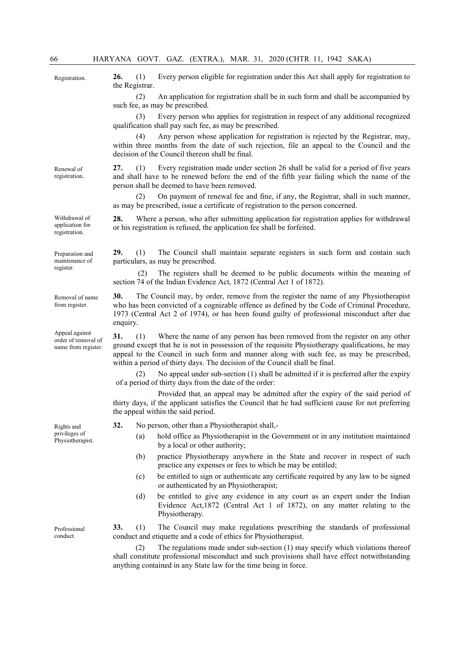|                                                              |                 | ILINIINI OOVI. OIKE.<br>(1/2)<br>MERG 21, 2020 (CHIR 11, 1772 6/18/1)                                                                                                                                                                                                                                                                                              |
|--------------------------------------------------------------|-----------------|--------------------------------------------------------------------------------------------------------------------------------------------------------------------------------------------------------------------------------------------------------------------------------------------------------------------------------------------------------------------|
| Registration.                                                | 26.             | Every person eligible for registration under this Act shall apply for registration to<br>(1)<br>the Registrar.                                                                                                                                                                                                                                                     |
|                                                              |                 | (2)<br>An application for registration shall be in such form and shall be accompanied by<br>such fee, as may be prescribed.                                                                                                                                                                                                                                        |
|                                                              |                 | Every person who applies for registration in respect of any additional recognized<br>(3)<br>qualification shall pay such fee, as may be prescribed.                                                                                                                                                                                                                |
|                                                              |                 | Any person whose application for registration is rejected by the Registrar, may,<br>(4)<br>within three months from the date of such rejection, file an appeal to the Council and the<br>decision of the Council thereon shall be final.                                                                                                                           |
| Renewal of<br>registration                                   | 27.             | Every registration made under section 26 shall be valid for a period of five years<br>(1)<br>and shall have to be renewed before the end of the fifth year failing which the name of the<br>person shall be deemed to have been removed.                                                                                                                           |
|                                                              |                 | On payment of renewal fee and fine, if any, the Registrar, shall in such manner,<br>(2)<br>as may be prescribed, issue a certificate of registration to the person concerned.                                                                                                                                                                                      |
| Withdrawal of<br>application for<br>registration.            | 28.             | Where a person, who after submitting application for registration applies for withdrawal<br>or his registration is refused, the application fee shall be forfeited.                                                                                                                                                                                                |
| Preparation and<br>maintenance of<br>register.               | 29.             | The Council shall maintain separate registers in such form and contain such<br>(1)<br>particulars, as may be prescribed.                                                                                                                                                                                                                                           |
|                                                              |                 | The registers shall be deemed to be public documents within the meaning of<br>(2)<br>section 74 of the Indian Evidence Act, 1872 (Central Act 1 of 1872).                                                                                                                                                                                                          |
| Removal of name<br>from register.                            | 30.<br>enquiry. | The Council may, by order, remove from the register the name of any Physiotherapist<br>who has been convicted of a cognizable offence as defined by the Code of Criminal Procedure,<br>1973 (Central Act 2 of 1974), or has been found guilty of professional misconduct after due                                                                                 |
| Appeal against<br>order of removal of<br>name from register. | 31.             | Where the name of any person has been removed from the register on any other<br>(1)<br>ground except that he is not in possession of the requisite Physiotherapy qualifications, he may<br>appeal to the Council in such form and manner along with such fee, as may be prescribed,<br>within a period of thirty days. The decision of the Council shall be final. |
|                                                              |                 | No appeal under sub-section $(1)$ shall be admitted if it is preferred after the expiry<br>(2)<br>of a period of thirty days from the date of the order:                                                                                                                                                                                                           |
|                                                              |                 | Provided that, an appeal may be admitted after the expiry of the said period of<br>thirty days, if the applicant satisfies the Council that he had sufficient cause for not preferring<br>the appeal within the said period.                                                                                                                                       |
| Rights and<br>privileges of<br>Physiotherapist.              | 32.             | No person, other than a Physiotherapist shall,-                                                                                                                                                                                                                                                                                                                    |
|                                                              |                 | hold office as Physiotherapist in the Government or in any institution maintained<br>(a)<br>by a local or other authority;                                                                                                                                                                                                                                         |
|                                                              |                 | practice Physiotherapy anywhere in the State and recover in respect of such<br>(b)<br>practice any expenses or fees to which he may be entitled;                                                                                                                                                                                                                   |
|                                                              |                 | be entitled to sign or authenticate any certificate required by any law to be signed<br>(c)<br>or authenticated by an Physiotherapist;                                                                                                                                                                                                                             |
|                                                              |                 | be entitled to give any evidence in any court as an expert under the Indian<br>(d)<br>Evidence Act, 1872 (Central Act 1 of 1872), on any matter relating to the<br>Physiotherapy.                                                                                                                                                                                  |
| Professional<br>conduct.                                     | 33.             | The Council may make regulations prescribing the standards of professional<br>(1)<br>conduct and etiquette and a code of ethics for Physiotherapist.                                                                                                                                                                                                               |

 (2) The regulations made under sub-section (1) may specify which violations thereof shall constitute professional misconduct and such provisions shall have effect notwithstanding anything contained in any State law for the time being in force.

Ren reg

Pro con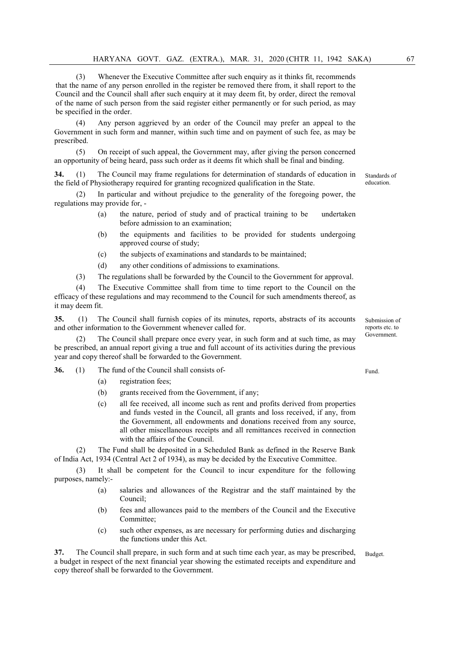(3) Whenever the Executive Committee after such enquiry as it thinks fit, recommends that the name of any person enrolled in the register be removed there from, it shall report to the Council and the Council shall after such enquiry at it may deem fit, by order, direct the removal of the name of such person from the said register either permanently or for such period, as may be specified in the order.

 (4) Any person aggrieved by an order of the Council may prefer an appeal to the Government in such form and manner, within such time and on payment of such fee, as may be prescribed.

 (5) On receipt of such appeal, the Government may, after giving the person concerned an opportunity of being heard, pass such order as it deems fit which shall be final and binding.

34. (1) The Council may frame regulations for determination of standards of education in the field of Physiotherapy required for granting recognized qualification in the State.

In particular and without prejudice to the generality of the foregoing power, the regulations may provide for, -

- (a) the nature, period of study and of practical training to be undertaken before admission to an examination;
- (b) the equipments and facilities to be provided for students undergoing approved course of study;
- (c) the subjects of examinations and standards to be maintained;
- (d) any other conditions of admissions to examinations.

(3) The regulations shall be forwarded by the Council to the Government for approval.

 (4) The Executive Committee shall from time to time report to the Council on the efficacy of these regulations and may recommend to the Council for such amendments thereof, as it may deem fit.

35. (1) The Council shall furnish copies of its minutes, reports, abstracts of its accounts and other information to the Government whenever called for.

The Council shall prepare once every year, in such form and at such time, as may be prescribed, an annual report giving a true and full account of its activities during the previous year and copy thereof shall be forwarded to the Government.

- 36. (1) The fund of the Council shall consists of-
	- (a) registration fees;
	- (b) grants received from the Government, if any;
	- (c) all fee received, all income such as rent and profits derived from properties and funds vested in the Council, all grants and loss received, if any, from the Government, all endowments and donations received from any source, all other miscellaneous receipts and all remittances received in connection with the affairs of the Council.

 (2) The Fund shall be deposited in a Scheduled Bank as defined in the Reserve Bank of India Act, 1934 (Central Act 2 of 1934), as may be decided by the Executive Committee.

It shall be competent for the Council to incur expenditure for the following purposes, namely:-

- (a) salaries and allowances of the Registrar and the staff maintained by the Council;
- (b) fees and allowances paid to the members of the Council and the Executive Committee;
- (c) such other expenses, as are necessary for performing duties and discharging the functions under this Act.

The Council shall prepare, in such form and at such time each year, as may be prescribed, a budget in respect of the next financial year showing the estimated receipts and expenditure and copy thereof shall be forwarded to the Government. Budget.

Submission of reports etc. to Government.

Standards of education.

Fund.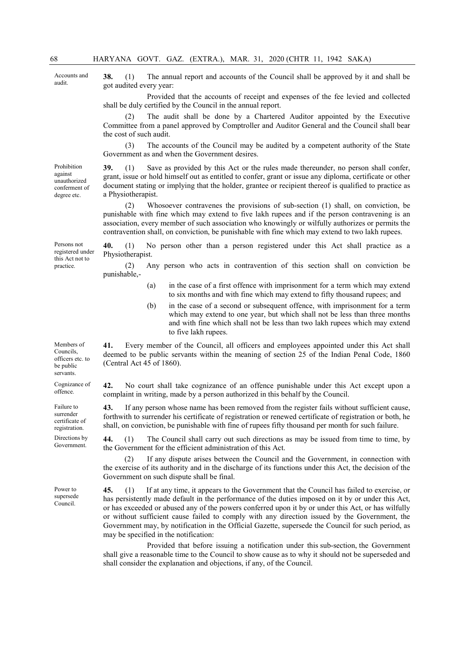Accounts and audit.

Prohibition against unauthorized conferment of degree etc.

38. (1) The annual report and accounts of the Council shall be approved by it and shall be got audited every year:

 Provided that the accounts of receipt and expenses of the fee levied and collected shall be duly certified by the Council in the annual report.

The audit shall be done by a Chartered Auditor appointed by the Executive Committee from a panel approved by Comptroller and Auditor General and the Council shall bear the cost of such audit.

 (3) The accounts of the Council may be audited by a competent authority of the State Government as and when the Government desires.

39. (1) Save as provided by this Act or the rules made thereunder, no person shall confer, grant, issue or hold himself out as entitled to confer, grant or issue any diploma, certificate or other document stating or implying that the holder, grantee or recipient thereof is qualified to practice as a Physiotherapist.

 (2) Whosoever contravenes the provisions of sub-section (1) shall, on conviction, be punishable with fine which may extend to five lakh rupees and if the person contravening is an association, every member of such association who knowingly or wilfully authorizes or permits the contravention shall, on conviction, be punishable with fine which may extend to two lakh rupees.

40. (1) No person other than a person registered under this Act shall practice as a Physiotherapist.

 (2) Any person who acts in contravention of this section shall on conviction be punishable,-

- (a) in the case of a first offence with imprisonment for a term which may extend to six months and with fine which may extend to fifty thousand rupees; and
- (b) in the case of a second or subsequent offence, with imprisonment for a term which may extend to one year, but which shall not be less than three months and with fine which shall not be less than two lakh rupees which may extend to five lakh rupees.

41. Every member of the Council, all officers and employees appointed under this Act shall deemed to be public servants within the meaning of section 25 of the Indian Penal Code, 1860 (Central Act 45 of 1860).

42. No court shall take cognizance of an offence punishable under this Act except upon a complaint in writing, made by a person authorized in this behalf by the Council.

43. If any person whose name has been removed from the register fails without sufficient cause, forthwith to surrender his certificate of registration or renewed certificate of registration or both, he shall, on conviction, be punishable with fine of rupees fifty thousand per month for such failure.

44. (1) The Council shall carry out such directions as may be issued from time to time, by the Government for the efficient administration of this Act.

 (2) If any dispute arises between the Council and the Government, in connection with the exercise of its authority and in the discharge of its functions under this Act, the decision of the Government on such dispute shall be final.

45. (1) If at any time, it appears to the Government that the Council has failed to exercise, or has persistently made default in the performance of the duties imposed on it by or under this Act, or has exceeded or abused any of the powers conferred upon it by or under this Act, or has wilfully or without sufficient cause failed to comply with any direction issued by the Government, the Government may, by notification in the Official Gazette, supersede the Council for such period, as may be specified in the notification:

 Provided that before issuing a notification under this sub-section, the Government shall give a reasonable time to the Council to show cause as to why it should not be superseded and shall consider the explanation and objections, if any, of the Council.

Persons not registered under this Act not to practice.

Members of Councils, officers etc. to be public servants.

Cognizance of offence.

Failure to surrender certificate of registration.

Directions by Government.

Power to supersede Council.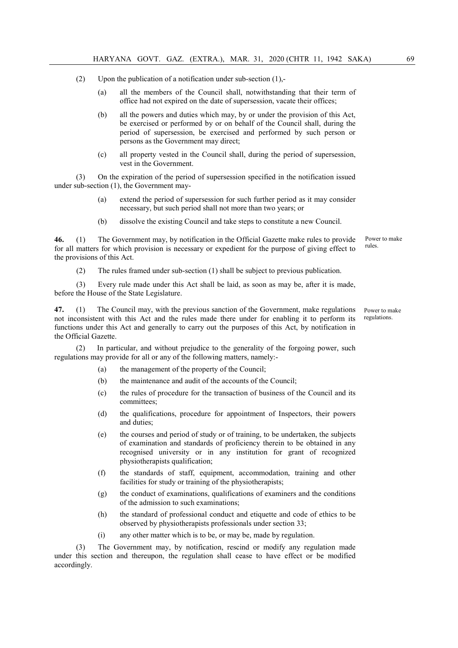- (2) Upon the publication of a notification under sub-section  $(1)$ ,-
	- (a) all the members of the Council shall, notwithstanding that their term of office had not expired on the date of supersession, vacate their offices;
	- (b) all the powers and duties which may, by or under the provision of this Act, be exercised or performed by or on behalf of the Council shall, during the period of supersession, be exercised and performed by such person or persons as the Government may direct;
	- (c) all property vested in the Council shall, during the period of supersession, vest in the Government.

 (3) On the expiration of the period of supersession specified in the notification issued under sub-section (1), the Government may-

- (a) extend the period of supersession for such further period as it may consider necessary, but such period shall not more than two years; or
- (b) dissolve the existing Council and take steps to constitute a new Council.

46. (1) The Government may, by notification in the Official Gazette make rules to provide for all matters for which provision is necessary or expedient for the purpose of giving effect to the provisions of this Act. Power to make rules.

(2) The rules framed under sub-section (1) shall be subject to previous publication.

 (3) Every rule made under this Act shall be laid, as soon as may be, after it is made, before the House of the State Legislature.

47. (1) The Council may, with the previous sanction of the Government, make regulations not inconsistent with this Act and the rules made there under for enabling it to perform its functions under this Act and generally to carry out the purposes of this Act, by notification in the Official Gazette.

 (2) In particular, and without prejudice to the generality of the forgoing power, such regulations may provide for all or any of the following matters, namely:-

- (a) the management of the property of the Council;
- (b) the maintenance and audit of the accounts of the Council;
- (c) the rules of procedure for the transaction of business of the Council and its committees;
- (d) the qualifications, procedure for appointment of Inspectors, their powers and duties;
- (e) the courses and period of study or of training, to be undertaken, the subjects of examination and standards of proficiency therein to be obtained in any recognised university or in any institution for grant of recognized physiotherapists qualification;
- (f) the standards of staff, equipment, accommodation, training and other facilities for study or training of the physiotherapists;
- (g) the conduct of examinations, qualifications of examiners and the conditions of the admission to such examinations;
- (h) the standard of professional conduct and etiquette and code of ethics to be observed by physiotherapists professionals under section 33;
- (i) any other matter which is to be, or may be, made by regulation.

 (3) The Government may, by notification, rescind or modify any regulation made under this section and thereupon, the regulation shall cease to have effect or be modified accordingly.

Power to make regulations.